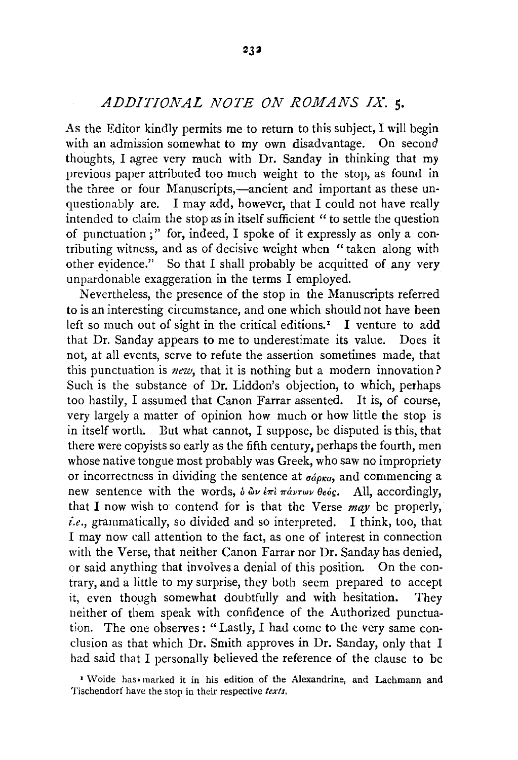## *ADDITIONAL NOTE ON ROMANS IX.* 5·

As the Editor kindly permits me to return to this subject, I will begin with an admission somewhat to my own disadvantage. On second thoughts, I agree very much with Dr. Sanday in thinking that my previous paper attributed too much weight to the stop, as found in the three or four Manuscripts,—ancient and important as these unquestionably are. I may add, however, that I could not have really intended to claim the stop as in itself sufficient "to settle the question of punctuation;" for, indeed, I spoke of it expressly as only a con· tributing witness, and as of decisive weight when "taken along with other evidence." So that I shall probably be acquitted of any very unpardonable exaggeration in the terms I employed.

Nevertheless, the presence of the stop in the Manuscripts referred to is an interesting circumstance, and one which should not have been left so much out of sight in the critical editions.<sup> $I$ </sup> I venture to add that Dr. Sanday appears to me to underestimate its value. Does it not, at all events, serve to refute the assertion sometimes made, that this punctuation is *new,* that it is nothing but a modern innovation? Such is the substance of Dr. Liddon's objection, to which, perhaps too hastily, I assumed that Canon Farrar assented. It is, of course, very largely a matter of opinion how much or how little the stop is in itself worth. But what cannot, I suppose, be disputed is this, that there were copyists so early as the fifth century, perhaps the fourth, men whose native tongue most probably was Greek, who saw no impropriety or incorrectness in dividing the sentence at  $\sigma \phi_{\alpha}$ , and commencing a new sentence with the words,  $\delta \omega \nu \partial \tau \partial \omega \nu \partial \phi$  and  $\delta \omega$ . All, accordingly, that I now wish to contend for is that the Verse *may* be properly, *i.e.,* grammatically, so divided and so interpreted. I think, too, that I may now call attention to the fact, as one of interest in connection with the Verse, that neither Canon Farrar nor Dr. Sanday has denied, or said anything that involves a denial of this position. On the contrary, and a little to my surprise, they both seem prepared to accept it, even though somewhat doubtfully and with hesitation. They neither of them speak with confidence of the Authorized punctuation. The one observes : "Lastly, I had come to the very same conclusion as that which Dr. Smith approves in Dr. Sanday, only that I had said that I personally believed the reference of the clause to be

<sup>&#</sup>x27;Woide has• marked it in his edition of the Alexandrine, and Lachmann and Tischendorf have the stop in their respective *texts.*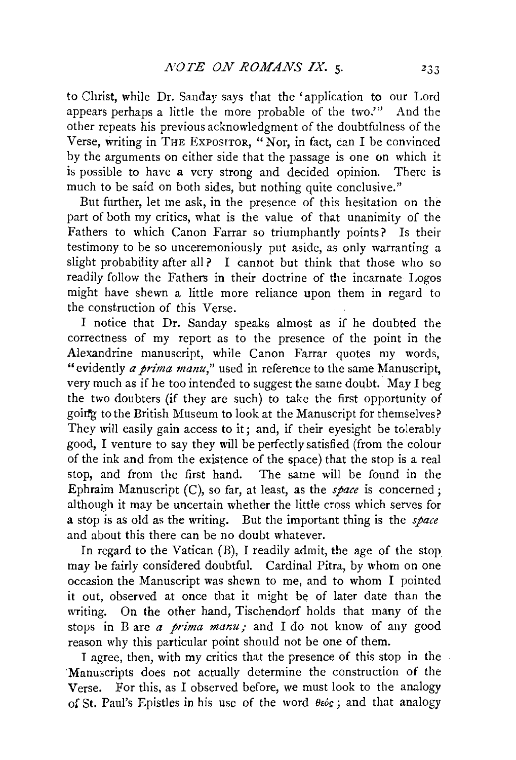to Christ, while Dr. Sanday says that the 'application to our Lord appears perhaps a little the more probable of the two.'" And the other repeats his previous acknowledgment of the doubtfulness of the Verse, writing in THE ExPoSITOR, " Nor, in fact, can I be convinced by the arguments on either side that the passage is one on which it is possible to have a very strong and decided opinion. There is much to be said on both sides, but nothing quite conclusive."

But further, let me ask, in the presence of this hesitation on the part of both my critics, what is the value of that unanimity of the Fathers to which Canon Farrar so triumphantly points? Is their testimony to be so unceremoniously put aside, as only warranting a slight probability after all? I cannot but think that those who so readily follow the Fathers in their doctrine of the incarnate Logos might have shewn a little more reliance upon them in regard to the construction of this Verse.

I notice that Dr. Sanday speaks almost as if he doubted the correctness of my report as to the presence of the point in the Alexandrine manuscript, while Canon Farrar quotes my words, "evidently *a prima manu,"* used in reference to the same Manuscript, very much as if he too intended to suggest the same doubt. May I beg the two doubters (if they are such) to take the first opportunity of goirfg to the British Museum to look at the Manuscript for themselves? They will easily gain access to it; and, if their eyesight be tolerably good, I venture to say they will be perfectly satisfied (from the colour of the ink and from the existence of the space) that the stop is a real stop, and from the first hand. The same will be found in the Ephraim Manuscript (C), so far, at least, as the *space* is concerned; although it may be uncertain whether the little cross which serves for a stop is as old as the writing. But the important thing is the *space*  and about this there can be no doubt whatever.

In regard to the Vatican (B), I readily admit, the age of the stop may be fairly considered doubtful. Cardinal Pitra, by whom on one occasion the Manuscript was shewn to me, and to whom I pointed it out, observed at once that it might be of later date than the writing. On the other hand, Tischendorf holds that many of the stops in B are *a prima manu\_-* and I do not know of any good reason why this particular point should not be one of them.

I agree, then, with my critics that the presence of this stop in the 'Manuscripts does not actually determine the construction of the Verse. For this, as I observed before, we must look to the analogy of St. Paul's Epistles in his use of the word  $\theta \infty$ ; and that analogy